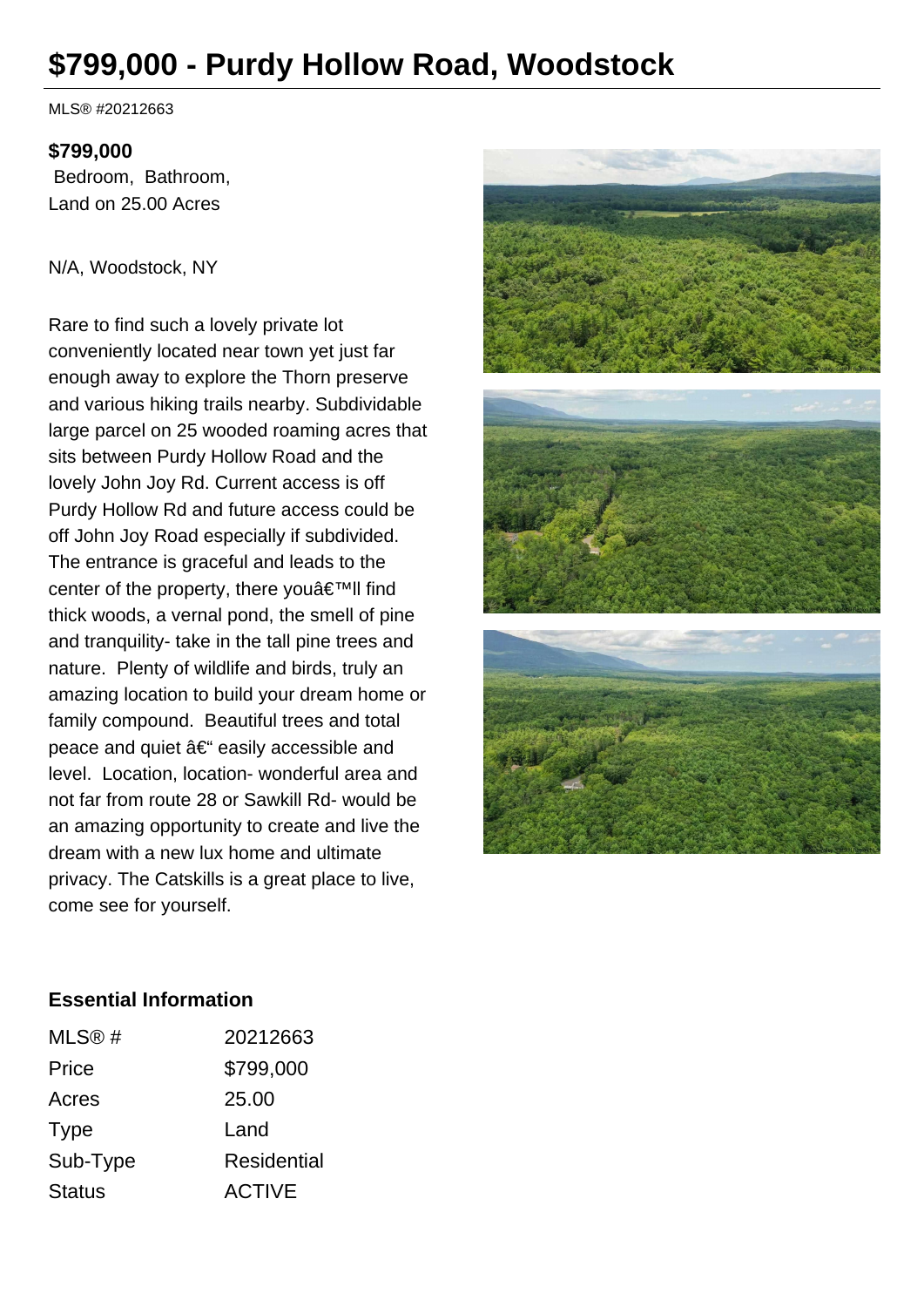# **\$799,000 - Purdy Hollow Road, Woodstock**

MLS® #20212663

#### **\$799,000**

 Bedroom, Bathroom, Land on 25.00 Acres

#### N/A, Woodstock, NY

Rare to find such a lovely private lot conveniently located near town yet just far enough away to explore the Thorn preserve and various hiking trails nearby. Subdividable large parcel on 25 wooded roaming acres that sits between Purdy Hollow Road and the lovely John Joy Rd. Current access is off Purdy Hollow Rd and future access could be off John Joy Road especially if subdivided. The entrance is graceful and leads to the center of the property, there you $\hat{a} \in \mathbb{R}^m$ ll find thick woods, a vernal pond, the smell of pine and tranquility- take in the tall pine trees and nature. Plenty of wildlife and birds, truly an amazing location to build your dream home or family compound. Beautiful trees and total peace and quiet  $a \in \mathbb{C}^n$  easily accessible and level. Location, location- wonderful area and not far from route 28 or Sawkill Rd- would be an amazing opportunity to create and live the dream with a new lux home and ultimate privacy. The Catskills is a great place to live, come see for yourself.



#### **Essential Information**

| MLS@#         | 20212663      |
|---------------|---------------|
| Price         | \$799,000     |
| Acres         | 25.00         |
| Type          | Land          |
| Sub-Type      | Residential   |
| <b>Status</b> | <b>ACTIVE</b> |